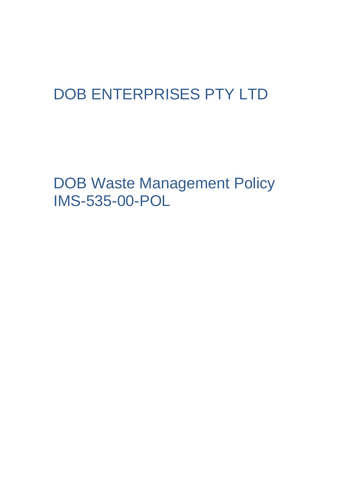# DOB ENTERPRISES PTY LTD

DOB Waste Management Policy IMS-535-00-POL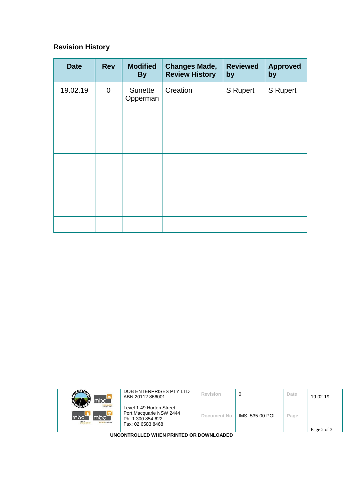# **Revision History**

| <b>Date</b> | <b>Rev</b>     | <b>Modified</b><br><b>By</b> | <b>Changes Made,</b><br><b>Review History</b> | <b>Reviewed</b><br>by | <b>Approved</b><br>by |
|-------------|----------------|------------------------------|-----------------------------------------------|-----------------------|-----------------------|
| 19.02.19    | $\overline{0}$ | Sunette<br>Opperman          | Creation                                      | <b>S</b> Rupert       | <b>S</b> Rupert       |
|             |                |                              |                                               |                       |                       |
|             |                |                              |                                               |                       |                       |
|             |                |                              |                                               |                       |                       |
|             |                |                              |                                               |                       |                       |
|             |                |                              |                                               |                       |                       |
|             |                |                              |                                               |                       |                       |
|             |                |                              |                                               |                       |                       |
|             |                |                              |                                               |                       |                       |

| mbc <sup>-</sup>                                                        | DOB ENTERPRISES PTY LTD<br>ABN 20112 866001                                                   | Revision    | 0               | Date | 19.02.19 |  |  |  |
|-------------------------------------------------------------------------|-----------------------------------------------------------------------------------------------|-------------|-----------------|------|----------|--|--|--|
| <b>Icloour hire</b><br>mbc`<br>Imbc<br>m <sub>k</sub><br>sursing agency | Level 1 49 Horton Street<br>Port Macquarie NSW 2444<br>Ph: 1 300 854 622<br>Fax: 02 6583 8468 | Document No | IMS -535-00-POL | Page |          |  |  |  |
| Page 2 of 3<br>UNCONTROLLED WHEN PRINTED OR DOWNLOADED                  |                                                                                               |             |                 |      |          |  |  |  |